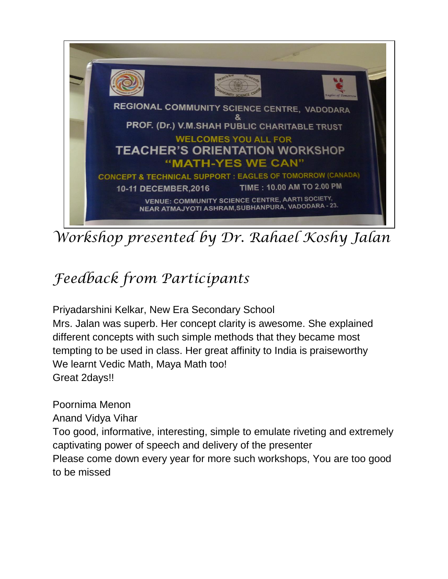

*Workshop presented by Dr. Rahael Koshy Jalan*

## *Feedback from Participants*

Priyadarshini Kelkar, New Era Secondary School Mrs. Jalan was superb. Her concept clarity is awesome. She explained different concepts with such simple methods that they became most tempting to be used in class. Her great affinity to India is praiseworthy We learnt Vedic Math, Maya Math too! Great 2days!!

Poornima Menon

Anand Vidya Vihar

Too good, informative, interesting, simple to emulate riveting and extremely captivating power of speech and delivery of the presenter

Please come down every year for more such workshops, You are too good to be missed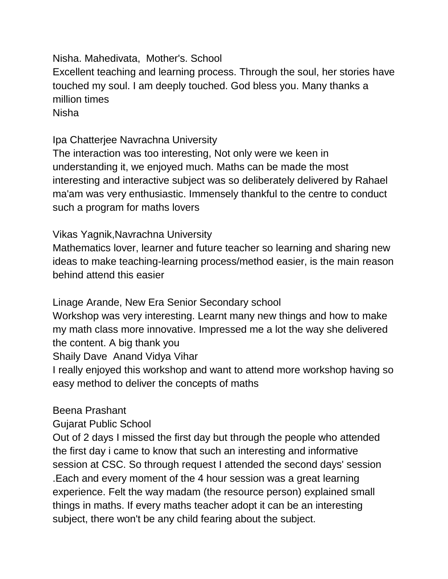Nisha. Mahedivata, Mother's. School Excellent teaching and learning process. Through the soul, her stories have touched my soul. I am deeply touched. God bless you. Many thanks a million times Nisha

Ipa Chatterjee Navrachna University

The interaction was too interesting, Not only were we keen in understanding it, we enjoyed much. Maths can be made the most interesting and interactive subject was so deliberately delivered by Rahael ma'am was very enthusiastic. Immensely thankful to the centre to conduct such a program for maths lovers

## Vikas Yagnik,Navrachna University

Mathematics lover, learner and future teacher so learning and sharing new ideas to make teaching-learning process/method easier, is the main reason behind attend this easier

Linage Arande, New Era Senior Secondary school

Workshop was very interesting. Learnt many new things and how to make my math class more innovative. Impressed me a lot the way she delivered the content. A big thank you

Shaily Dave Anand Vidya Vihar

I really enjoyed this workshop and want to attend more workshop having so easy method to deliver the concepts of maths

## Beena Prashant

Gujarat Public School

Out of 2 days I missed the first day but through the people who attended the first day i came to know that such an interesting and informative session at CSC. So through request I attended the second days' session .Each and every moment of the 4 hour session was a great learning experience. Felt the way madam (the resource person) explained small things in maths. If every maths teacher adopt it can be an interesting subject, there won't be any child fearing about the subject.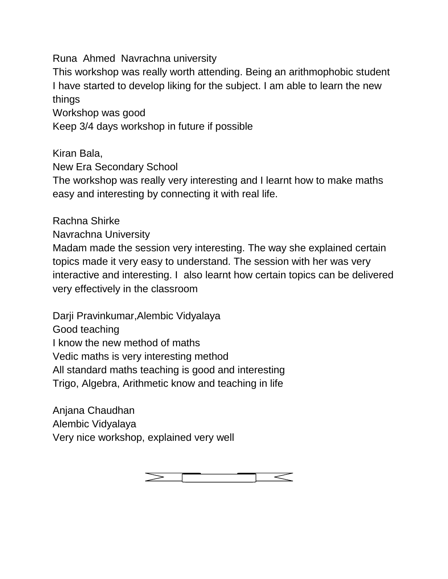Runa Ahmed Navrachna university

This workshop was really worth attending. Being an arithmophobic student I have started to develop liking for the subject. I am able to learn the new things

Workshop was good

Keep 3/4 days workshop in future if possible

Kiran Bala,

New Era Secondary School

The workshop was really very interesting and I learnt how to make maths easy and interesting by connecting it with real life.

Rachna Shirke

Navrachna University

Madam made the session very interesting. The way she explained certain topics made it very easy to understand. The session with her was very interactive and interesting. I also learnt how certain topics can be delivered very effectively in the classroom

Darji Pravinkumar,Alembic Vidyalaya Good teaching I know the new method of maths Vedic maths is very interesting method All standard maths teaching is good and interesting Trigo, Algebra, Arithmetic know and teaching in life

Anjana Chaudhan Alembic Vidyalaya Very nice workshop, explained very well

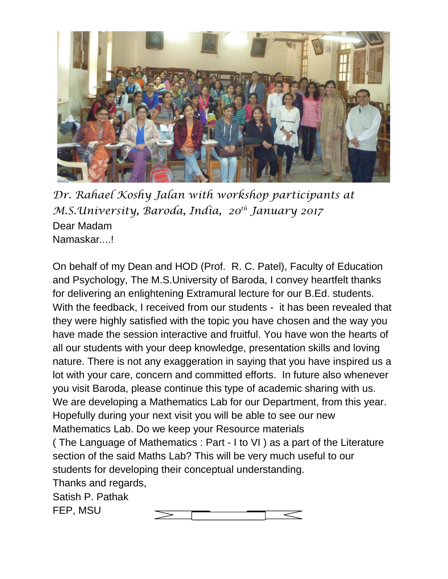

*Dr. Rahael Koshy Jalan with workshop participants at M.S.University, Baroda, India, 20th January 2017* Dear Madam Namaskar....!

On behalf of my Dean and HOD (Prof. R. C. Patel), Faculty of Education and Psychology, The M.S.University of Baroda, I convey heartfelt thanks for delivering an enlightening Extramural lecture for our B.Ed. students. With the feedback, I received from our students - it has been revealed that they were highly satisfied with the topic you have chosen and the way you have made the session interactive and fruitful. You have won the hearts of all our students with your deep knowledge, presentation skills and loving nature. There is not any exaggeration in saying that you have inspired us a lot with your care, concern and committed efforts. In future also whenever you visit Baroda, please continue this type of academic sharing with us. We are developing a Mathematics Lab for our Department, from this year. Hopefully during your next visit you will be able to see our new Mathematics Lab. Do we keep your Resource materials ( The Language of Mathematics : Part - I to VI ) as a part of the Literature section of the said Maths Lab? This will be very much useful to our students for developing their conceptual understanding. Thanks and regards, Satish P. Pathak FEP, MSU